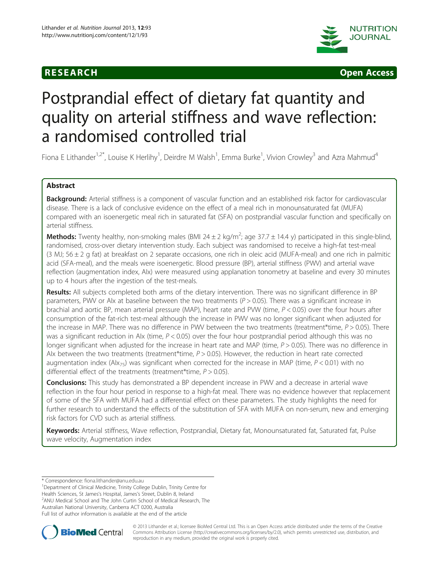



# Postprandial effect of dietary fat quantity and quality on arterial stiffness and wave reflection: a randomised controlled trial

Fiona E Lithander<sup>1,2\*</sup>, Louise K Herlihy<sup>1</sup>, Deirdre M Walsh<sup>1</sup>, Emma Burke<sup>1</sup>, Vivion Crowley<sup>3</sup> and Azra Mahmud<sup>4</sup>

# Abstract

Background: Arterial stiffness is a component of vascular function and an established risk factor for cardiovascular disease. There is a lack of conclusive evidence on the effect of a meal rich in monounsaturated fat (MUFA) compared with an isoenergetic meal rich in saturated fat (SFA) on postprandial vascular function and specifically on arterial stiffness.

Methods: Twenty healthy, non-smoking males (BMI 24 ± 2 kg/m<sup>2</sup>; age 37.7 ± 14.4 y) participated in this single-blind, randomised, cross-over dietary intervention study. Each subject was randomised to receive a high-fat test-meal (3 MJ; 56  $\pm$  2 g fat) at breakfast on 2 separate occasions, one rich in oleic acid (MUFA-meal) and one rich in palmitic acid (SFA-meal), and the meals were isoenergetic. Blood pressure (BP), arterial stiffness (PWV) and arterial wave reflection (augmentation index, AIx) were measured using applanation tonometry at baseline and every 30 minutes up to 4 hours after the ingestion of the test-meals.

Results: All subjects completed both arms of the dietary intervention. There was no significant difference in BP parameters, PWV or AIx at baseline between the two treatments  $(P > 0.05)$ . There was a significant increase in brachial and aortic BP, mean arterial pressure (MAP), heart rate and PVW (time,  $P < 0.05$ ) over the four hours after consumption of the fat-rich test-meal although the increase in PWV was no longer significant when adjusted for the increase in MAP. There was no difference in PWV between the two treatments (treatment\*time,  $P > 0.05$ ). There was a significant reduction in AIx (time,  $P < 0.05$ ) over the four hour postprandial period although this was no longer significant when adjusted for the increase in heart rate and MAP (time,  $P > 0.05$ ). There was no difference in Alx between the two treatments (treatment\*time,  $P > 0.05$ ). However, the reduction in heart rate corrected augmentation index (AIx<sub>75</sub>) was significant when corrected for the increase in MAP (time,  $P < 0.01$ ) with no differential effect of the treatments (treatment\*time,  $P > 0.05$ ).

**Conclusions:** This study has demonstrated a BP dependent increase in PWV and a decrease in arterial wave reflection in the four hour period in response to a high-fat meal. There was no evidence however that replacement of some of the SFA with MUFA had a differential effect on these parameters. The study highlights the need for further research to understand the effects of the substitution of SFA with MUFA on non-serum, new and emerging risk factors for CVD such as arterial stiffness.

Keywords: Arterial stiffness, Wave reflection, Postprandial, Dietary fat, Monounsaturated fat, Saturated fat, Pulse wave velocity, Augmentation index

<sup>1</sup>Department of Clinical Medicine, Trinity College Dublin, Trinity Centre for Health Sciences, St James's Hospital, James's Street, Dublin 8, Ireland <sup>2</sup> <sup>2</sup> ANU Medical School and The John Curtin School of Medical Research, The Australian National University, Canberra ACT 0200, Australia Full list of author information is available at the end of the article



© 2013 Lithander et al.; licensee BioMed Central Ltd. This is an Open Access article distributed under the terms of the Creative Commons Attribution License [\(http://creativecommons.org/licenses/by/2.0\)](http://creativecommons.org/licenses/by/2.0), which permits unrestricted use, distribution, and reproduction in any medium, provided the original work is properly cited.

<sup>\*</sup> Correspondence: [fiona.lithander@anu.edu.au](mailto:fiona.lithander@anu.edu.au) <sup>1</sup>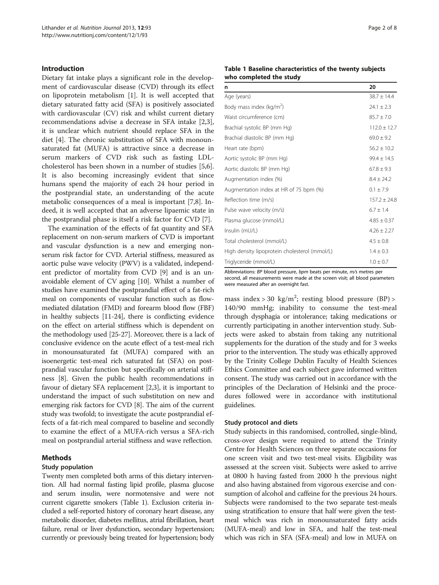# <span id="page-1-0"></span>Introduction

Dietary fat intake plays a significant role in the development of cardiovascular disease (CVD) through its effect on lipoprotein metabolism [[1\]](#page-6-0). It is well accepted that dietary saturated fatty acid (SFA) is positively associated with cardiovascular (CV) risk and whilst current dietary recommendations advise a decrease in SFA intake [\[2,3](#page-6-0)], it is unclear which nutrient should replace SFA in the diet [[4\]](#page-6-0). The chronic substitution of SFA with monounsaturated fat (MUFA) is attractive since a decrease in serum markers of CVD risk such as fasting LDLcholesterol has been shown in a number of studies [\[5,6](#page-6-0)]. It is also becoming increasingly evident that since humans spend the majority of each 24 hour period in the postprandial state, an understanding of the acute metabolic consequences of a meal is important [[7,8\]](#page-6-0). Indeed, it is well accepted that an adverse lipaemic state in the postprandial phase is itself a risk factor for CVD [\[7](#page-6-0)].

The examination of the effects of fat quantity and SFA replacement on non-serum markers of CVD is important and vascular dysfunction is a new and emerging nonserum risk factor for CVD. Arterial stiffness, measured as aortic pulse wave velocity (PWV) is a validated, independent predictor of mortality from CVD [\[9\]](#page-6-0) and is an unavoidable element of CV aging [\[10\]](#page-6-0). Whilst a number of studies have examined the postprandial effect of a fat-rich meal on components of vascular function such as flowmediated dilatation (FMD) and forearm blood flow (FBF) in healthy subjects [[11](#page-6-0)-[24](#page-6-0)], there is conflicting evidence on the effect on arterial stiffness which is dependent on the methodology used [\[25-27\]](#page-6-0). Moreover, there is a lack of conclusive evidence on the acute effect of a test-meal rich in monounsaturated fat (MUFA) compared with an isoenergetic test-meal rich saturated fat (SFA) on postprandial vascular function but specifically on arterial stiffness [\[8](#page-6-0)]. Given the public health recommendations in favour of dietary SFA replacement [\[2,3\]](#page-6-0), it is important to understand the impact of such substitution on new and emerging risk factors for CVD [\[8\]](#page-6-0). The aim of the current study was twofold; to investigate the acute postprandial effects of a fat-rich meal compared to baseline and secondly to examine the effect of a MUFA-rich versus a SFA-rich meal on postprandial arterial stiffness and wave reflection.

# Methods

# Study population

Twenty men completed both arms of this dietary intervention. All had normal fasting lipid profile, plasma glucose and serum insulin, were normotensive and were not current cigarette smokers (Table 1). Exclusion criteria included a self-reported history of coronary heart disease, any metabolic disorder, diabetes mellitus, atrial fibrillation, heart failure, renal or liver dysfunction, secondary hypertension; currently or previously being treated for hypertension; body

#### Table 1 Baseline characteristics of the twenty subjects who completed the study

| n                                             | 20               |
|-----------------------------------------------|------------------|
| Age (years)                                   | $38.7 \pm 14.4$  |
| Body mass index ( $kg/m2$ )                   | $24.1 \pm 2.3$   |
| Waist circumference (cm)                      | $85.7 \pm 7.0$   |
| Brachial systolic BP (mm Hg)                  | $112.0 \pm 12.7$ |
| Brachial diastolic BP (mm Hg)                 | $69.0 \pm 9.2$   |
| Heart rate (bpm)                              | $56.2 \pm 10.2$  |
| Aortic systolic BP (mm Hg)                    | $99.4 \pm 14.5$  |
| Aortic diastolic BP (mm Hg)                   | $67.8 \pm 9.3$   |
| Augmentation index (%)                        | $8.4 \pm 24.2$   |
| Augmentation index at HR of 75 bpm (%)        | $0.1 \pm 7.9$    |
| Reflection time (m/s)                         | $157.2 \pm 24.8$ |
| Pulse wave velocity (m/s)                     | $6.7 \pm 1.4$    |
| Plasma glucose (mmol/L)                       | $4.85 \pm 0.37$  |
| Insulin (mU/L)                                | $4.26 \pm 2.27$  |
| Total cholesterol (mmol/L)                    | $4.5 \pm 0.8$    |
| High density lipoprotein cholesterol (mmol/L) | $1.4 \pm 0.3$    |
| Triglyceride (mmol/L)                         | $1.0 \pm 0.7$    |

Abbreviations: BP blood pressure, bpm beats per minute, m/s metres per second, all measurements were made at the screen visit; all blood parameters were measured after an overnight fast.

mass index > 30 kg/m<sup>2</sup>; resting blood pressure (BP) > 140/90 mmHg; inability to consume the test-meal through dysphagia or intolerance; taking medications or currently participating in another intervention study. Subjects were asked to abstain from taking any nutritional supplements for the duration of the study and for 3 weeks prior to the intervention. The study was ethically approved by the Trinity College Dublin Faculty of Health Sciences Ethics Committee and each subject gave informed written consent. The study was carried out in accordance with the principles of the Declaration of Helsinki and the procedures followed were in accordance with institutional guidelines.

#### Study protocol and diets

Study subjects in this randomised, controlled, single-blind, cross-over design were required to attend the Trinity Centre for Health Sciences on three separate occasions for one screen visit and two test-meal visits. Eligibility was assessed at the screen visit. Subjects were asked to arrive at 0800 h having fasted from 2000 h the previous night and also having abstained from vigorous exercise and consumption of alcohol and caffeine for the previous 24 hours. Subjects were randomised to the two separate test-meals using stratification to ensure that half were given the testmeal which was rich in monounsaturated fatty acids (MUFA-meal) and low in SFA, and half the test-meal which was rich in SFA (SFA-meal) and low in MUFA on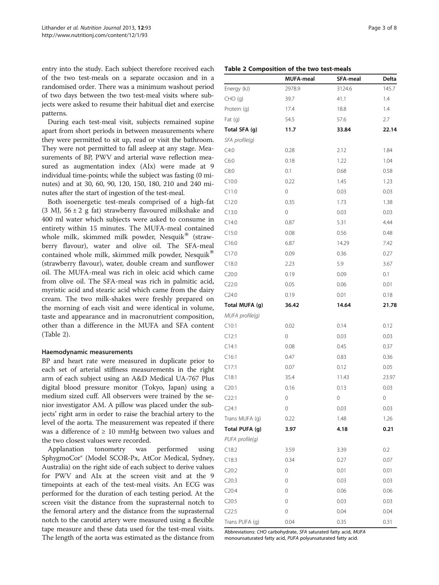entry into the study. Each subject therefore received each of the two test-meals on a separate occasion and in a randomised order. There was a minimum washout period of two days between the two test-meal visits where subjects were asked to resume their habitual diet and exercise patterns.

During each test-meal visit, subjects remained supine apart from short periods in between measurements where they were permitted to sit up, read or visit the bathroom. They were not permitted to fall asleep at any stage. Measurements of BP, PWV and arterial wave reflection measured as augmentation index (AIx) were made at 9 individual time-points; while the subject was fasting (0 minutes) and at 30, 60, 90, 120, 150, 180, 210 and 240 minutes after the start of ingestion of the test-meal.

Both isoenergetic test-meals comprised of a high-fat (3 MJ,  $56 \pm 2$  g fat) strawberry flavoured milkshake and 400 ml water which subjects were asked to consume in entirety within 15 minutes. The MUFA-meal contained whole milk, skimmed milk powder, Nesquik® (strawberry flavour), water and olive oil. The SFA-meal contained whole milk, skimmed milk powder, Nesquik<sup>®</sup> (strawberry flavour), water, double cream and sunflower oil. The MUFA-meal was rich in oleic acid which came from olive oil. The SFA-meal was rich in palmitic acid, myristic acid and stearic acid which came from the dairy cream. The two milk-shakes were freshly prepared on the morning of each visit and were identical in volume, taste and appearance and in macronutrient composition, other than a difference in the MUFA and SFA content (Table 2).

# Haemodynamic measurements

BP and heart rate were measured in duplicate prior to each set of arterial stiffness measurements in the right arm of each subject using an A&D Medical UA-767 Plus digital blood pressure monitor (Tokyo, Japan) using a medium sized cuff. All observers were trained by the senior investigator AM. A pillow was placed under the subjects' right arm in order to raise the brachial artery to the level of the aorta. The measurement was repeated if there was a difference of  $\geq 10$  mmHg between two values and the two closest values were recorded.

Applanation tonometry was performed using SphygmoCor® (Model SCOR-Px, AtCor Medical, Sydney, Australia) on the right side of each subject to derive values for PWV and AIx at the screen visit and at the 9 timepoints at each of the test-meal visits. An ECG was performed for the duration of each testing period. At the screen visit the distance from the suprasternal notch to the femoral artery and the distance from the suprasternal notch to the carotid artery were measured using a flexible tape measure and these data used for the test-meal visits. The length of the aorta was estimated as the distance from

|                 | <b>MUFA-meal</b> | SFA-meal | Delta |
|-----------------|------------------|----------|-------|
| Energy (kJ)     | 2978.9           | 3124.6   | 145.7 |
| $CHO$ (g)       | 39.7             | 41.1     | 1.4   |
| Protein (g)     | 17.4             | 18.8     | 1.4   |
| Fat (g)         | 54.5             | 57.6     | 2.7   |
| Total SFA (g)   | 11.7             | 33.84    | 22.14 |
| SFA profile(q)  |                  |          |       |
| C4:0            | 0.28             | 2.12     | 1.84  |
| C6:0            | 0.18             | 1.22     | 1.04  |
| C8:0            | 0.1              | 0.68     | 0.58  |
| C10:0           | 0.22             | 1.45     | 1.23  |
| C11:0           | 0                | 0.03     | 0.03  |
| C12:0           | 0.35             | 1.73     | 1.38  |
| C13:0           | 0                | 0.03     | 0.03  |
| C14:0           | 0.87             | 5.31     | 4.44  |
| C15:0           | 0.08             | 0.56     | 0.48  |
| C16:0           | 6.87             | 14.29    | 7.42  |
| C17:0           | 0.09             | 0.36     | 0.27  |
| C18.0           | 2.23             | 5.9      | 3.67  |
| C20:0           | 0.19             | 0.09     | 0.1   |
| C22:0           | 0.05             | 0.06     | 0.01  |
| C24:0           | 0.19             | 0.01     | 0.18  |
| Total MUFA (g)  | 36.42            | 14.64    | 21.78 |
| MUFA profile(g) |                  |          |       |
| C10:1           | 0.02             | 0.14     | 0.12  |
| C12:1           | 0                | 0.03     | 0.03  |
| C14:1           | 0.08             | 0.45     | 0.37  |
| C16:1           | 0.47             | 0.83     | 0.36  |
| C17:1           | 0.07             | 0.12     | 0.05  |
| C18:1           | 35.4             | 11.43    | 23.97 |
| C20:1           | 0.16             | 0.13     | 0.03  |
| C22:1           | 0                | 0        | 0     |
| C24:1           | 0                | 0.03     | 0.03  |
| Trans MUFA (g)  | 0.22             | 1.48     | 1.26  |
| Total PUFA (g)  | 3.97             | 4.18     | 0.21  |
| PUFA profile(g) |                  |          |       |
| C18:2           | 3.59             | 3.39     | 0.2   |
| C18:3           | 0.34             | 0.27     | 0.07  |
| C20:2           | 0                | 0.01     | 0.01  |
| C20:3           | 0                | 0.03     | 0.03  |
| C20:4           | 0                | 0.06     | 0.06  |
| C20:5           | 0                | 0.03     | 0.03  |
| C22:5           | 0                | 0.04     | 0.04  |
| Trans PUFA (g)  | 0.04             | 0.35     | 0.31  |

Abbreviations: CHO carbohydrate, SFA saturated fatty acid, MUFA monounsaturated fatty acid, PUFA polyunsaturated fatty acid.

#### Table 2 Composition of the two test-meals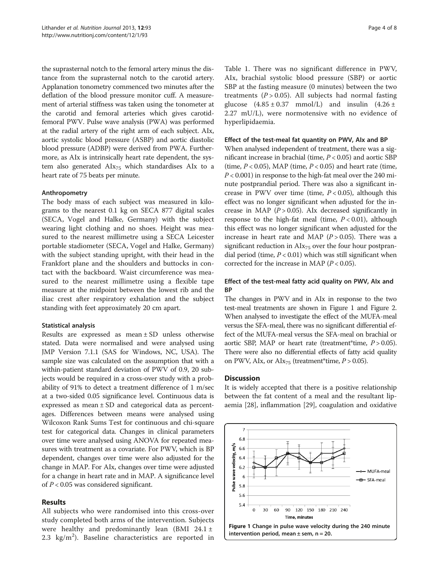the suprasternal notch to the femoral artery minus the distance from the suprasternal notch to the carotid artery. Applanation tonometry commenced two minutes after the deflation of the blood pressure monitor cuff. A measurement of arterial stiffness was taken using the tonometer at the carotid and femoral arteries which gives carotidfemoral PWV. Pulse wave analysis (PWA) was performed at the radial artery of the right arm of each subject. AIx, aortic systolic blood pressure (ASBP) and aortic diastolic blood pressure (ADBP) were derived from PWA. Furthermore, as AIx is intrinsically heart rate dependent, the system also generated  $\text{AIx}_{75}$  which standardises  $\text{AIx}$  to a heart rate of 75 beats per minute.

# Anthropometry

The body mass of each subject was measured in kilograms to the nearest 0.1 kg on SECA 877 digital scales (SECA, Vogel and Halke, Germany) with the subject wearing light clothing and no shoes. Height was measured to the nearest millimetre using a SECA Leicester portable stadiometer (SECA, Vogel and Halke, Germany) with the subject standing upright, with their head in the Frankfort plane and the shoulders and buttocks in contact with the backboard. Waist circumference was measured to the nearest millimetre using a flexible tape measure at the midpoint between the lowest rib and the iliac crest after respiratory exhalation and the subject standing with feet approximately 20 cm apart.

#### Statistical analysis

Results are expressed as mean ± SD unless otherwise stated. Data were normalised and were analysed using JMP Version 7.1.1 (SAS for Windows, NC, USA). The sample size was calculated on the assumption that with a within-patient standard deviation of PWV of 0.9, 20 subjects would be required in a cross-over study with a probability of 91% to detect a treatment difference of 1 m/sec at a two-sided 0.05 significance level. Continuous data is expressed as mean ± SD and categorical data as percentages. Differences between means were analysed using Wilcoxon Rank Sums Test for continuous and chi-square test for categorical data. Changes in clinical parameters over time were analysed using ANOVA for repeated measures with treatment as a covariate. For PWV, which is BP dependent, changes over time were also adjusted for the change in MAP. For AIx, changes over time were adjusted for a change in heart rate and in MAP. A significance level of  $P < 0.05$  was considered significant.

# Results

All subjects who were randomised into this cross-over study completed both arms of the intervention. Subjects were healthy and predominantly lean (BMI 24.1  $\pm$  $2.3 \text{ kg/m}^2$ ). Baseline characteristics are reported in

Table [1.](#page-1-0) There was no significant difference in PWV, AIx, brachial systolic blood pressure (SBP) or aortic SBP at the fasting measure (0 minutes) between the two treatments  $(P > 0.05)$ . All subjects had normal fasting glucose  $(4.85 \pm 0.37 \text{ mmol/L})$  and insulin  $(4.26 \pm 1.37 \text{ mmol/L})$ 2.27 mU/L), were normotensive with no evidence of hyperlipidaemia.

#### Effect of the test-meal fat quantity on PWV, AIx and BP

When analysed independent of treatment, there was a significant increase in brachial (time,  $P < 0.05$ ) and aortic SBP (time,  $P < 0.05$ ), MAP (time,  $P < 0.05$ ) and heart rate (time,  $P < 0.001$ ) in response to the high-fat meal over the 240 minute postprandial period. There was also a significant increase in PWV over time (time,  $P < 0.05$ ), although this effect was no longer significant when adjusted for the increase in MAP ( $P > 0.05$ ). Alx decreased significantly in response to the high-fat meal (time,  $P < 0.01$ ), although this effect was no longer significant when adjusted for the increase in heart rate and MAP  $(P > 0.05)$ . There was a significant reduction in  $\text{AIX}_{75}$  over the four hour postprandial period (time,  $P < 0.01$ ) which was still significant when corrected for the increase in MAP ( $P < 0.05$ ).

# Effect of the test-meal fatty acid quality on PWV, AIx and **BP**

The changes in PWV and in AIx in response to the two test-meal treatments are shown in Figure 1 and Figure [2](#page-4-0). When analysed to investigate the effect of the MUFA-meal versus the SFA-meal, there was no significant differential effect of the MUFA-meal versus the SFA-meal on brachial or aortic SBP, MAP or heart rate (treatment\*time,  $P > 0.05$ ). There were also no differential effects of fatty acid quality on PWV, AIx, or AIx<sub>75</sub> (treatment\*time,  $P > 0.05$ ).

# **Discussion**

It is widely accepted that there is a positive relationship between the fat content of a meal and the resultant lipaemia [\[28\]](#page-6-0), inflammation [[29\]](#page-6-0), coagulation and oxidative

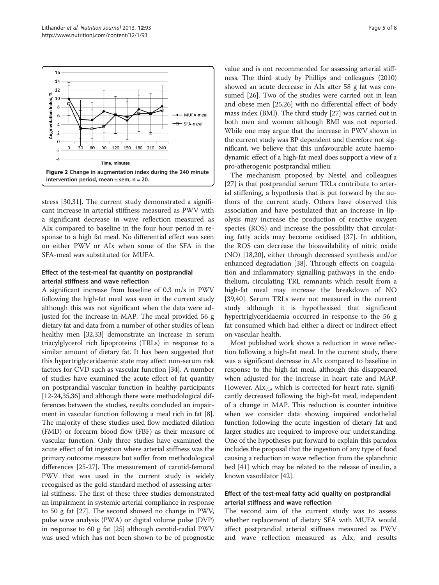<span id="page-4-0"></span>

stress [[30,31\]](#page-6-0). The current study demonstrated a significant increase in arterial stiffness measured as PWV with a significant decrease in wave reflection measured as AIx compared to baseline in the four hour period in response to a high fat meal. No differential effect was seen on either PWV or AIx when some of the SFA in the SFA-meal was substituted for MUFA.

# Effect of the test-meal fat quantity on postprandial arterial stiffness and wave reflection

A significant increase from baseline of 0.3 m/s in PWV following the high-fat meal was seen in the current study although this was not significant when the data were adjusted for the increase in MAP. The meal provided 56 g dietary fat and data from a number of other studies of lean healthy men [\[32,33\]](#page-7-0) demonstrate an increase in serum triacylglycerol rich lipoproteins (TRLs) in response to a similar amount of dietary fat. It has been suggested that this hypertriglyceridaemic state may affect non-serum risk factors for CVD such as vascular function [\[34](#page-7-0)]. A number of studies have examined the acute effect of fat quantity on postprandial vascular function in healthy participants [[12](#page-6-0)-[24](#page-6-0),[35,36\]](#page-7-0) and although there were methodological differences between the studies, results concluded an impairment in vascular function following a meal rich in fat [[8](#page-6-0)]. The majority of these studies used flow mediated dilation (FMD) or forearm blood flow (FBF) as their measure of vascular function. Only three studies have examined the acute effect of fat ingestion where arterial stiffness was the primary outcome measure but suffer from methodological differences [[25](#page-6-0)-[27](#page-6-0)]. The measurement of carotid-femoral PWV that was used in the current study is widely recognised as the gold-standard method of assessing arterial stiffness. The first of these three studies demonstrated an impairment in systemic arterial compliance in response to 50 g fat [\[27\]](#page-6-0). The second showed no change in PWV, pulse wave analysis (PWA) or digital volume pulse (DVP) in response to 60 g fat [[25](#page-6-0)] although carotid-radial PWV was used which has not been shown to be of prognostic value and is not recommended for assessing arterial stiffness. The third study by Phillips and colleagues (2010) showed an acute decrease in AIx after 58 g fat was consumed [\[26\]](#page-6-0). Two of the studies were carried out in lean and obese men [\[25,26](#page-6-0)] with no differential effect of body mass index (BMI). The third study [\[27\]](#page-6-0) was carried out in both men and women although BMI was not reported. While one may argue that the increase in PWV shown in the current study was BP dependent and therefore not significant, we believe that this unfavourable acute haemodynamic effect of a high-fat meal does support a view of a pro-atherogenic postprandial milieu.

The mechanism proposed by Nestel and colleagues [[27\]](#page-6-0) is that postprandial serum TRLs contribute to arterial stiffening, a hypothesis that is put forward by the authors of the current study. Others have observed this association and have postulated that an increase in lipolysis may increase the production of reactive oxygen species (ROS) and increase the possibility that circulating fatty acids may become oxidised [[37](#page-7-0)]. In addition, the ROS can decrease the bioavailability of nitric oxide (NO) [[18,20\]](#page-6-0), either through decreased synthesis and/or enhanced degradation [\[38](#page-7-0)]. Through effects on coagulation and inflammatory signalling pathways in the endothelium, circulating TRL remnants which result from a high-fat meal may increase the breakdown of NO [[39,40\]](#page-7-0). Serum TRLs were not measured in the current study although it is hypothesised that significant hypertriglyceridaemia occurred in response to the 56 g fat consumed which had either a direct or indirect effect on vascular health.

Most published work shows a reduction in wave reflection following a high-fat meal. In the current study, there was a significant decrease in AIx compared to baseline in response to the high-fat meal, although this disappeared when adjusted for the increase in heart rate and MAP. However,  $\text{AIx}_{75}$ , which is corrected for heart rate, significantly decreased following the high-fat meal, independent of a change in MAP. This reduction is counter intuitive when we consider data showing impaired endothelial function following the acute ingestion of dietary fat and larger studies are required to improve our understanding. One of the hypotheses put forward to explain this paradox includes the proposal that the ingestion of any type of food causing a reduction in wave reflection from the splanchnic bed [[41](#page-7-0)] which may be related to the release of insulin, a known vasodilator [[42](#page-7-0)].

# Effect of the test-meal fatty acid quality on postprandial arterial stiffness and wave reflection

The second aim of the current study was to assess whether replacement of dietary SFA with MUFA would affect postprandial arterial stiffness measured as PWV and wave reflection measured as AIx, and results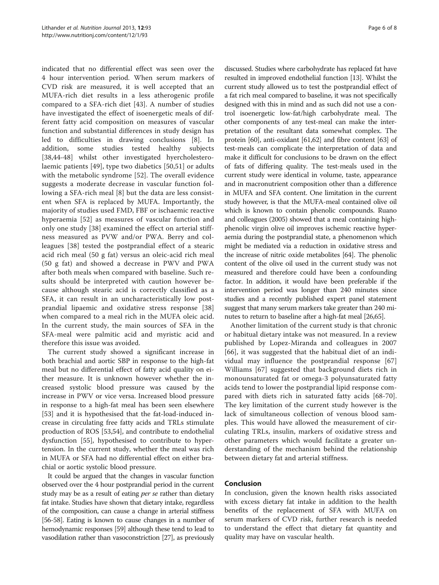indicated that no differential effect was seen over the 4 hour intervention period. When serum markers of CVD risk are measured, it is well accepted that an MUFA-rich diet results in a less atherogenic profile compared to a SFA-rich diet [\[43](#page-7-0)]. A number of studies have investigated the effect of isoenergetic meals of different fatty acid composition on measures of vascular function and substantial differences in study design has led to difficulties in drawing conclusions [\[8](#page-6-0)]. In addition, some studies tested healthy subjects [[38,44](#page-7-0)-[48\]](#page-7-0) whilst other investigated hyercholesterolaemic patients [[49\]](#page-7-0), type two diabetics [\[50](#page-7-0),[51\]](#page-7-0) or adults with the metabolic syndrome [\[52](#page-7-0)]. The overall evidence suggests a moderate decrease in vascular function following a SFA-rich meal [[8\]](#page-6-0) but the data are less consistent when SFA is replaced by MUFA. Importantly, the majority of studies used FMD, FBF or ischaemic reactive hyperaemia [[52](#page-7-0)] as measures of vascular function and only one study [[38](#page-7-0)] examined the effect on arterial stiffness measured as PVW and/or PWA. Berry and colleagues [[38\]](#page-7-0) tested the postprandial effect of a stearic acid rich meal (50 g fat) versus an oleic-acid rich meal (50 g fat) and showed a decrease in PWV and PWA after both meals when compared with baseline. Such results should be interpreted with caution however because although stearic acid is correctly classified as a SFA, it can result in an uncharacteristically low postprandial lipaemic and oxidative stress response [\[38](#page-7-0)] when compared to a meal rich in the MUFA oleic acid. In the current study, the main sources of SFA in the SFA-meal were palmitic acid and myristic acid and therefore this issue was avoided.

The current study showed a significant increase in both brachial and aortic SBP in response to the high-fat meal but no differential effect of fatty acid quality on either measure. It is unknown however whether the increased systolic blood pressure was caused by the increase in PWV or vice versa. Increased blood pressure in response to a high-fat meal has been seen elsewhere [[53\]](#page-7-0) and it is hypothesised that the fat-load-induced increase in circulating free fatty acids and TRLs stimulate production of ROS [[53,54\]](#page-7-0), and contribute to endothelial dysfunction [\[55](#page-7-0)], hypothesised to contribute to hypertension. In the current study, whether the meal was rich in MUFA or SFA had no differential effect on either brachial or aortic systolic blood pressure.

It could be argued that the changes in vascular function observed over the 4 hour postprandial period in the current study may be as a result of eating per se rather than dietary fat intake. Studies have shown that dietary intake, regardless of the composition, can cause a change in arterial stiffness [[56](#page-7-0)-[58\]](#page-7-0). Eating is known to cause changes in a number of hemodynamic responses [\[59\]](#page-7-0) although these tend to lead to vasodilation rather than vasoconstriction [[27](#page-6-0)], as previously

discussed. Studies where carbohydrate has replaced fat have resulted in improved endothelial function [\[13\]](#page-6-0). Whilst the current study allowed us to test the postprandial effect of a fat rich meal compared to baseline, it was not specifically designed with this in mind and as such did not use a control isoenergetic low-fat/high carbohydrate meal. The other components of any test-meal can make the interpretation of the resultant data somewhat complex. The protein [[60](#page-7-0)], anti-oxidant [\[61,62](#page-7-0)] and fibre content [\[63\]](#page-7-0) of test-meals can complicate the interpretation of data and make it difficult for conclusions to be drawn on the effect of fats of differing quality. The test-meals used in the current study were identical in volume, taste, appearance and in macronutrient composition other than a difference in MUFA and SFA content. One limitation in the current study however, is that the MUFA-meal contained olive oil which is known to contain phenolic compounds. Ruano and colleagues (2005) showed that a meal containing highphenolic virgin olive oil improves ischemic reactive hyperaemia during the postprandial state, a phenomenon which might be mediated via a reduction in oxidative stress and the increase of nitric oxide metabolites [[64](#page-7-0)]. The phenolic content of the olive oil used in the current study was not measured and therefore could have been a confounding factor. In addition, it would have been preferable if the intervention period was longer than 240 minutes since studies and a recently published expert panel statement suggest that many serum markers take greater than 240 minutes to return to baseline after a high-fat meal [[26](#page-6-0)[,65\]](#page-7-0).

Another limitation of the current study is that chronic or habitual dietary intake was not measured. In a review published by Lopez-Miranda and colleagues in 2007 [[66](#page-7-0)], it was suggested that the habitual diet of an individual may influence the postprandial response [\[67](#page-7-0)] Williams [[67\]](#page-7-0) suggested that background diets rich in monounsaturated fat or omega-3 polyunsaturated fatty acids tend to lower the postprandial lipid response compared with diets rich in saturated fatty acids [\[68-70](#page-7-0)]. The key limitation of the current study however is the lack of simultaneous collection of venous blood samples. This would have allowed the measurement of circulating TRLs, insulin, markers of oxidative stress and other parameters which would facilitate a greater understanding of the mechanism behind the relationship between dietary fat and arterial stiffness.

# Conclusion

In conclusion, given the known health risks associated with excess dietary fat intake in addition to the health benefits of the replacement of SFA with MUFA on serum markers of CVD risk, further research is needed to understand the effect that dietary fat quantity and quality may have on vascular health.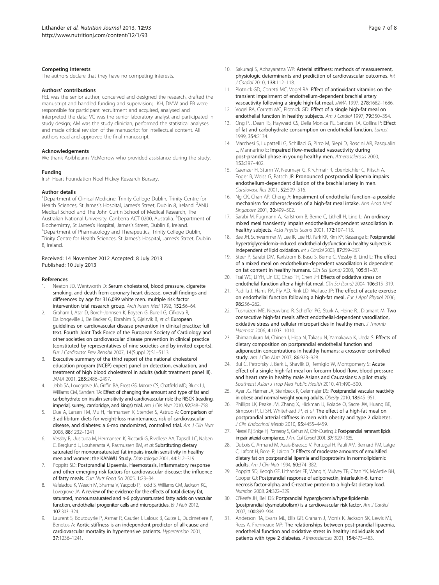#### <span id="page-6-0"></span>Competing interests

The authors declare that they have no competing interests.

#### Authors' contributions

FEL was the senior author, conceived and designed the research, drafted the manuscript and handled funding and supervision; LKH, DMW and EB were responsible for participant recruitment and acquired, analysed and interpreted the data; VC was the senior laboratory analyst and participated in study design; AM was the study clinician, performed the statistical analyses and made critical revision of the manuscript for intellectual content. All authors read and approved the final manuscript.

#### Acknowledgements

We thank Aoibheann McMorrow who provided assistance during the study.

#### Funding

Irish Heart Foundation Noel Hickey Research Bursary.

#### Author details

<sup>1</sup>Department of Clinical Medicine, Trinity College Dublin, Trinity Centre for Health Sciences, St James's Hospital, James's Street, Dublin 8, Ireland. <sup>2</sup>ANU Medical School and The John Curtin School of Medical Research, The Australian National University, Canberra ACT 0200, Australia. <sup>3</sup>Department of Biochemistry, St James's Hospital, James's Street, Dublin 8, Ireland. <sup>4</sup> Department of Pharmacology and Therapeutics, Trinity College Dublin, Trinity Centre for Health Sciences, St James's Hospital, James's Street, Dublin 8, Ireland.

#### Received: 14 November 2012 Accepted: 8 July 2013 Published: 10 July 2013

#### References

- 1. Neaton JD, Wentworth D: Serum cholesterol, blood pressure, cigarette smoking, and death from coronary heart disease. overall findings and differences by age for 316,099 white men. multiple risk factor intervention trial research group. Arch Intern Med 1992, 152:56–64.
- 2. Graham I, Atar D, Borch-Johnsen K, Boysen G, Burell G, Cifkova R, Dallongeville J, De Backer G, Ebrahim S, Gjelsvik B, et al: European guidelines on cardiovascular disease prevention in clinical practice: full text. Fourth Joint Task Force of the European Society of Cardiology and other societies on cardiovascular disease prevention in clinical practice (constituted by representatives of nine societies and by invited experts). Eur J Cardiovasc Prev Rehabil 2007, 14(Suppl 2):S1–S113.
- 3. Executive summary of the third report of the national cholesterol education program (NCEP) expert panel on detection, evaluation, and treatment of high blood cholesterol in adults (adult treatment panel III). JAMA 2001, 285:2486–2497.
- Jebb SA, Lovegrove JA, Griffin BA, Frost GS, Moore CS, Chatfield MD, Bluck LJ, Williams CM, Sanders TA: Effect of changing the amount and type of fat and carbohydrate on insulin sensitivity and cardiovascular risk: the RISCK (reading, imperial, surrey, cambridge, and kings) trial. Am J Clin Nutr 2010, 92:748-758.
- Due A, Larsen TM, Mu H, Hermansen K, Stender S, Astrup A: Comparison of 3 ad libitum diets for weight-loss maintenance, risk of cardiovascular disease, and diabetes: a 6-mo randomized, controlled trial. Am J Clin Nutr 2008, 88:1232–1241.
- 6. Vessby B, Uusitupa M, Hermansen K, Riccardi G, Rivellese AA, Tapsell LC, Nalsen C, Berglund L, Louheranta A, Rasmussen BM, et al: Substituting dietary saturated for monounsaturated fat impairs insulin sensitivity in healthy men and women: the KANWU Study. Diab tologia 2001, 44:312–319.
- Poppitt SD: Postprandial Lipaemia, Haemostasis, inflammatory response and other emerging risk factors for cardiovascular disease: the influence of fatty meals. Curr Nutr Food Sci 2005, 1:23–34.
- 8. Vafeiadou K, Weech M, Sharma V, Yaqoob P, Todd S, Williams CM, Jackson KG, Lovegrove JA: A review of the evidence for the effects of total dietary fat, saturated, monounsaturated and n-6 polyunsaturated fatty acids on vascular function, endothelial progenitor cells and microparticles. Br J Nutr 2012, 107:303–324.
- Laurent S, Boutouyrie P, Asmar R, Gautier I, Laloux B, Guize L, Ducimetiere P, Benetos A: Aortic stiffness is an independent predictor of all-cause and cardiovascular mortality in hypertensive patients. Hypertension 2001, 37:1236–1241.
- 10. Sakuragi S, Abhayaratna WP: Arterial stiffness: methods of measurement, physiologic determinants and prediction of cardiovascular outcomes. Int J Cardiol 2010, 138:112–118.
- 11. Plotnick GD, Corretti MC, Vogel RA: Effect of antioxidant vitamins on the transient impairment of endothelium-dependent brachial artery vasoactivity following a single high-fat meal. JAMA 1997, 278:1682–1686.
- 12. Vogel RA, Corretti MC, Plotnick GD: Effect of a single high-fat meal on endothelial function in healthy subjects. Am J Cardiol 1997, 79:350-354.
- 13. Ong PJ, Dean TS, Hayward CS, Della Monica PL, Sanders TA, Collins P: Effect of fat and carbohydrate consumption on endothelial function. Lancet 1999, 354:2134.
- 14. Marchesi S, Lupattelli G, Schillaci G, Pirro M, Siepi D, Roscini AR, Pasqualini L, Mannarino E: Impaired flow-mediated vasoactivity during post-prandial phase in young healthy men. Atherosclerosis 2000, 153:397–402.
- 15. Gaenzer H, Sturm W, Neumayr G, Kirchmair R, Ebenbichler C, Ritsch A, Foger B, Weiss G, Patsch JR: Pronounced postprandial lipemia impairs endothelium-dependent dilation of the brachial artery in men. Cardiovasc Res 2001, 52:509–516.
- 16. Ng CK, Chan AP, Cheng A: Impairment of endothelial function–a possible mechanism for atherosclerosis of a high-fat meal intake. Ann Acad Med Singapore 2001, 30:499-502.
- 17. Sarabi M, Fugmann A, Karlstrom B, Berne C, Lithell H, Lind L: An ordinary mixed meal transiently impairs endothelium-dependent vasodilation in healthy subjects. Acta Physiol Scand 2001, 172:107-113.
- 18. Bae JH, Schwemmer M, Lee IK, Lee HJ, Park KR, Kim KY, Bassenge E: Postprandial hypertriglyceridemia-induced endothelial dysfunction in healthy subjects is independent of lipid oxidation. Int J Cardiol 2003, 87:259–267.
- 19. Steer P, Sarabi DM, Karlstrom B, Basu S, Berne C, Vessby B, Lind L: The effect of a mixed meal on endothelium-dependent vasodilation is dependent on fat content in healthy humans. Clin Sci (Lond) 2003, 105:81–87.
- 20. Tsai WC, Li YH, Lin CC, Chao TH, Chen JH: Effects of oxidative stress on endothelial function after a high-fat meal. Clin Sci (Lond) 2004, 106:315-319.
- 21. Padilla J, Harris RA, Fly AD, Rink LD, Wallace JP: The effect of acute exercise on endothelial function following a high-fat meal. Eur J Appl Physiol 2006, 98:256–262.
- 22. Tushuizen ME, Nieuwland R, Scheffer PG, Sturk A, Heine RJ, Diamant M: Two consecutive high-fat meals affect endothelial-dependent vasodilation, oxidative stress and cellular microparticles in healthy men. J Thromb Haemost 2006, 4:1003–1010.
- 23. Shimabukuro M, Chinen I, Higa N, Takasu N, Yamakawa K, Ueda S: Effects of dietary composition on postprandial endothelial function and adiponectin concentrations in healthy humans: a crossover controlled study. Am 1 Clin Nutr 2007, 86:923-928.
- 24. Bui C, Petrofsky J, Berk L, Shavlik D, Remigio W, Montgomery S: Acute effect of a single high-fat meal on forearm blood flow, blood pressure and heart rate in healthy male Asians and Caucasians: a pilot study. Southeast Asian J Trop Med Public Health 2010, 41:490–500.
- 25. Ayer JG, Harmer JA, Steinbeck K, Celermajer DS: Postprandial vascular reactivity in obese and normal weight young adults. Obesity 2010, 18:945–951.
- 26. Phillips LK, Peake JM, Zhang X, Hickman IJ, Kolade O, Sacre JW, Huang BE, Simpson P, Li SH, Whitehead JP, et al: The effect of a high-fat meal on postprandial arterial stiffness in men with obesity and type 2 diabetes. J Clin Endocrinol Metab 2010, 95:4455–4459.
- 27. Nestel PJ, Shige H, Pomeroy S, Cehun M, Chin-Dusting J: Post-prandial remnant lipids impair arterial compliance. J Am Coll Cardiol 2001, 37:1929-1935.
- 28. Dubois C, Armand M, Azais-Braesco V, Portugal H, Pauli AM, Bernard PM, Latge C, Lafont H, Borel P, Lairon D: Effects of moderate amounts of emulsified dietary fat on postprandial lipemia and lipoproteins in normolipidemic adults. Am J Clin Nutr 1994, 60:374–382.
- 29. Poppitt SD, Keogh GF, Lithander FE, Wang Y, Mulvey TB, Chan YK, McArdle BH, Cooper GJ: Postprandial response of adiponectin, interleukin-6, tumor necrosis factor-alpha, and C-reactive protein to a high-fat dietary load. Nutrition 2008, 24:322–329.
- 30. O'Keefe JH, Bell DS: Postprandial hyperglycemia/hyperlipidemia (postprandial dysmetabolism) is a cardiovascular risk factor. Am J Cardiol 2007, 100:899–904.
- 31. Anderson RA, Evans ML, Ellis GR, Graham J, Morris K, Jackson SK, Lewis MJ, Rees A, Frenneaux MP: The relationships between post-prandial lipaemia, endothelial function and oxidative stress in healthy individuals and patients with type 2 diabetes. Atherosclerosis 2001, 154:475–483.